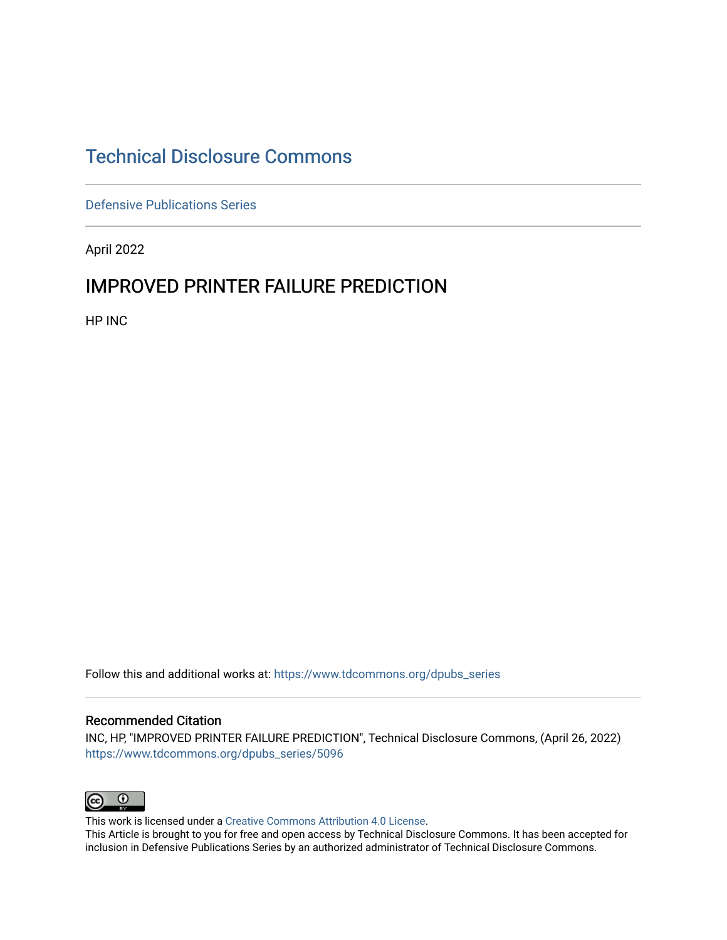## [Technical Disclosure Commons](https://www.tdcommons.org/)

[Defensive Publications Series](https://www.tdcommons.org/dpubs_series)

April 2022

### IMPROVED PRINTER FAILURE PREDICTION

HP INC

Follow this and additional works at: [https://www.tdcommons.org/dpubs\\_series](https://www.tdcommons.org/dpubs_series?utm_source=www.tdcommons.org%2Fdpubs_series%2F5096&utm_medium=PDF&utm_campaign=PDFCoverPages) 

#### Recommended Citation

INC, HP, "IMPROVED PRINTER FAILURE PREDICTION", Technical Disclosure Commons, (April 26, 2022) [https://www.tdcommons.org/dpubs\\_series/5096](https://www.tdcommons.org/dpubs_series/5096?utm_source=www.tdcommons.org%2Fdpubs_series%2F5096&utm_medium=PDF&utm_campaign=PDFCoverPages)



This work is licensed under a [Creative Commons Attribution 4.0 License](http://creativecommons.org/licenses/by/4.0/deed.en_US).

This Article is brought to you for free and open access by Technical Disclosure Commons. It has been accepted for inclusion in Defensive Publications Series by an authorized administrator of Technical Disclosure Commons.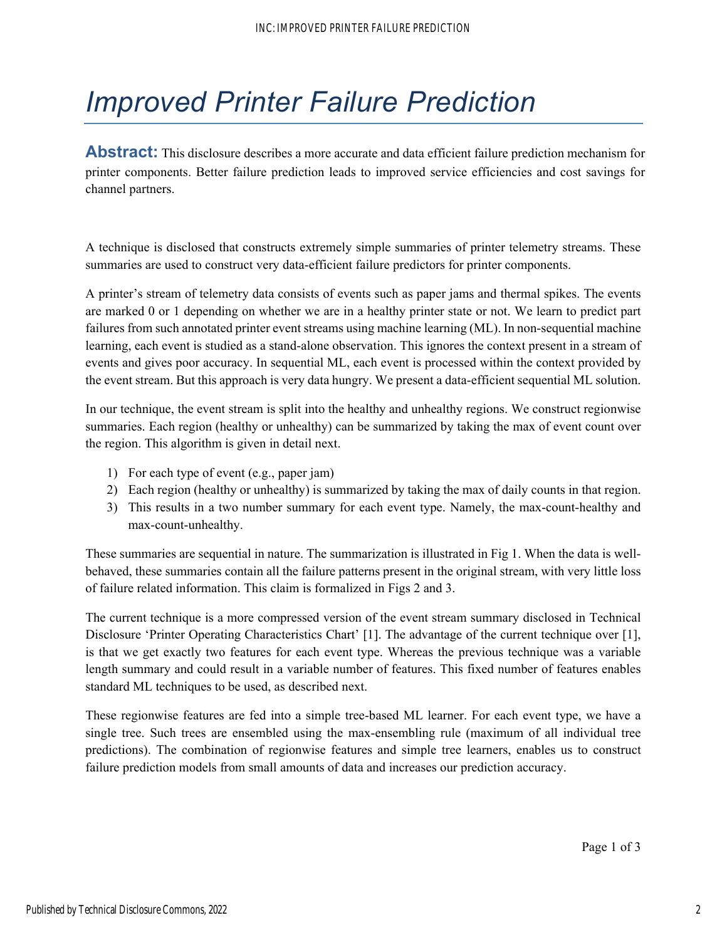# *Improved Printer Failure Prediction*

**Abstract:** This disclosure describes a more accurate and data efficient failure prediction mechanism for printer components. Better failure prediction leads to improved service efficiencies and cost savings for channel partners.

A technique is disclosed that constructs extremely simple summaries of printer telemetry streams. These summaries are used to construct very data-efficient failure predictors for printer components.

A printer's stream of telemetry data consists of events such as paper jams and thermal spikes. The events are marked 0 or 1 depending on whether we are in a healthy printer state or not. We learn to predict part failures from such annotated printer event streams using machine learning (ML). In non-sequential machine learning, each event is studied as a stand-alone observation. This ignores the context present in a stream of events and gives poor accuracy. In sequential ML, each event is processed within the context provided by the event stream. But this approach is very data hungry. We present a data-efficient sequential ML solution.

In our technique, the event stream is split into the healthy and unhealthy regions. We construct regionwise summaries. Each region (healthy or unhealthy) can be summarized by taking the max of event count over the region. This algorithm is given in detail next.

- 1) For each type of event (e.g., paper jam)
- 2) Each region (healthy or unhealthy) is summarized by taking the max of daily counts in that region.
- 3) This results in a two number summary for each event type. Namely, the max-count-healthy and max-count-unhealthy.

These summaries are sequential in nature. The summarization is illustrated in Fig 1. When the data is wellbehaved, these summaries contain all the failure patterns present in the original stream, with very little loss of failure related information. This claim is formalized in Figs 2 and 3.

The current technique is a more compressed version of the event stream summary disclosed in Technical Disclosure 'Printer Operating Characteristics Chart' [1]. The advantage of the current technique over [1], is that we get exactly two features for each event type. Whereas the previous technique was a variable length summary and could result in a variable number of features. This fixed number of features enables standard ML techniques to be used, as described next.

These regionwise features are fed into a simple tree-based ML learner. For each event type, we have a single tree. Such trees are ensembled using the max-ensembling rule (maximum of all individual tree predictions). The combination of regionwise features and simple tree learners, enables us to construct failure prediction models from small amounts of data and increases our prediction accuracy.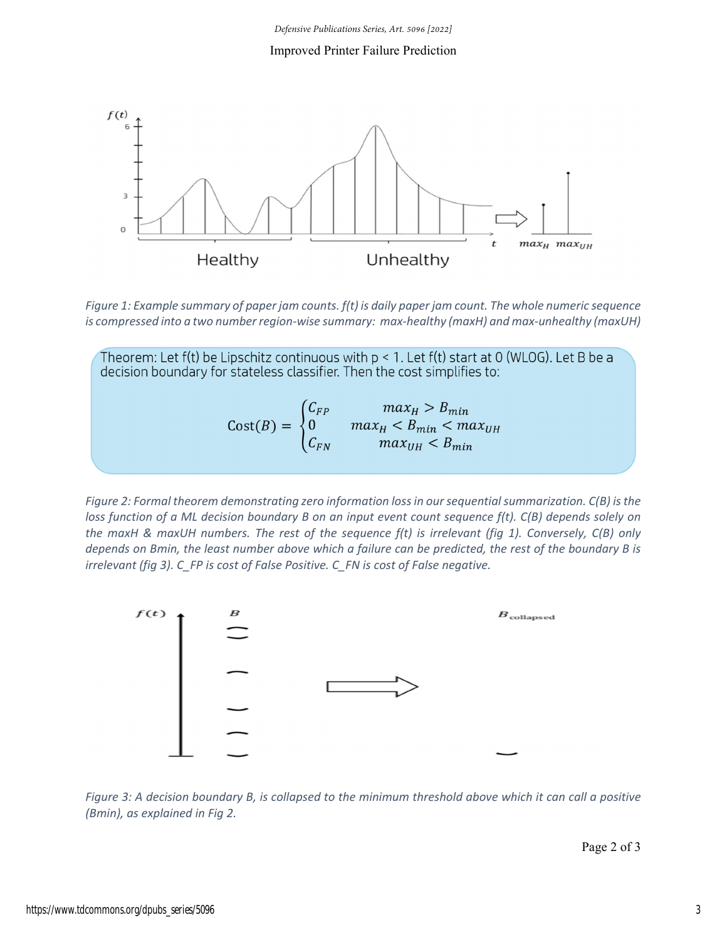#### Improved Printer Failure Prediction



Figure 1: Example summary of paper jam counts. f(t) is daily paper jam count. The whole numeric sequence is compressed into a two number region-wise summary: max-healthy (maxH) and max-unhealthy (maxUH)

Theorem: Let f(t) be Lipschitz continuous with  $p < 1$ . Let f(t) start at 0 (WLOG). Let B be a decision boundary for stateless classifier. Then the cost simplifies to:  $\text{Cost}(B) = \begin{cases} C_{FP} & max_H > B_{min} \\ 0 & max_H < B_{min} < max_{UH} \\ C_{FN} & max_{UH} < B_{min} \end{cases}$ 

*Figure 2: Formal theorem demonstrating zero information lossin oursequentialsummarization. C(B) isthe* loss function of a ML decision boundary B on an input event count sequence f(t). C(B) depends solely on the maxH & maxUH numbers. The rest of the sequence  $f(t)$  is irrelevant (fig 1). Conversely,  $C(B)$  only depends on Bmin, the least number above which a failure can be predicted, the rest of the boundary B is *irrelevant (fig 3). C\_FP is cost of False Positive. C\_FN is cost of False negative.* 



Figure 3: A decision boundary B, is collapsed to the minimum threshold above which it can call a positive *(Bmin), as explained in Fig 2.*